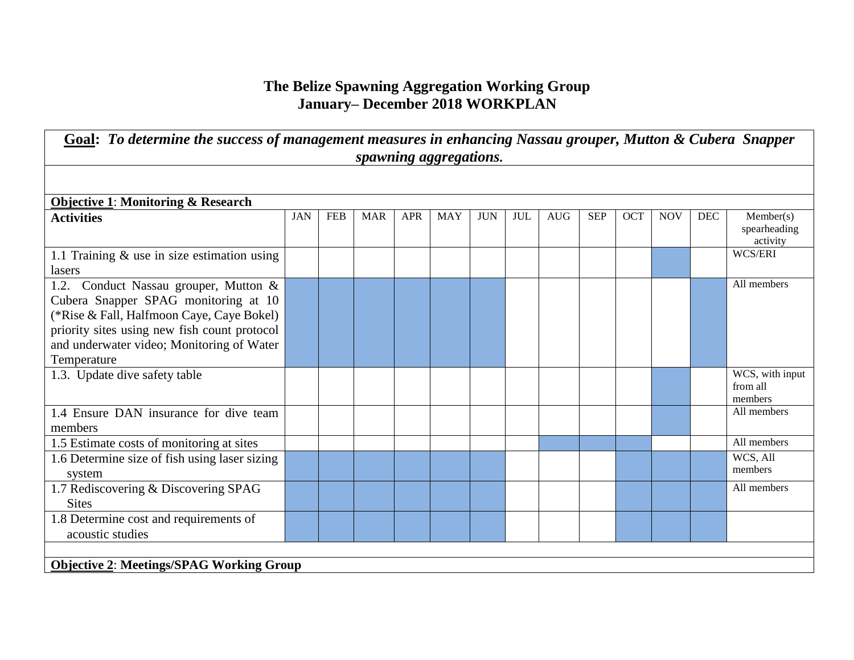## **The Belize Spawning Aggregation Working Group January– December 2018 WORKPLAN**

| Goal: To determine the success of management measures in enhancing Nassau grouper, Mutton & Cubera Snapper<br>spawning aggregations.                                                                                                   |            |            |            |            |            |            |            |            |            |            |            |            |                                        |
|----------------------------------------------------------------------------------------------------------------------------------------------------------------------------------------------------------------------------------------|------------|------------|------------|------------|------------|------------|------------|------------|------------|------------|------------|------------|----------------------------------------|
|                                                                                                                                                                                                                                        |            |            |            |            |            |            |            |            |            |            |            |            |                                        |
| <b>Objective 1: Monitoring &amp; Research</b>                                                                                                                                                                                          |            |            |            |            |            |            |            |            |            |            |            |            |                                        |
| <b>Activities</b>                                                                                                                                                                                                                      | <b>JAN</b> | <b>FEB</b> | <b>MAR</b> | <b>APR</b> | <b>MAY</b> | <b>JUN</b> | <b>JUL</b> | <b>AUG</b> | <b>SEP</b> | <b>OCT</b> | <b>NOV</b> | <b>DEC</b> | Member(s)<br>spearheading<br>activity  |
| 1.1 Training $\&$ use in size estimation using<br>lasers                                                                                                                                                                               |            |            |            |            |            |            |            |            |            |            |            |            | WCS/ERI                                |
| 1.2. Conduct Nassau grouper, Mutton &<br>Cubera Snapper SPAG monitoring at 10<br>(*Rise & Fall, Halfmoon Caye, Caye Bokel)<br>priority sites using new fish count protocol<br>and underwater video; Monitoring of Water<br>Temperature |            |            |            |            |            |            |            |            |            |            |            |            | All members                            |
| 1.3. Update dive safety table                                                                                                                                                                                                          |            |            |            |            |            |            |            |            |            |            |            |            | WCS, with input<br>from all<br>members |
| 1.4 Ensure DAN insurance for dive team<br>members                                                                                                                                                                                      |            |            |            |            |            |            |            |            |            |            |            |            | All members                            |
| 1.5 Estimate costs of monitoring at sites                                                                                                                                                                                              |            |            |            |            |            |            |            |            |            |            |            |            | All members                            |
| 1.6 Determine size of fish using laser sizing<br>system                                                                                                                                                                                |            |            |            |            |            |            |            |            |            |            |            |            | WCS, All<br>members                    |
| 1.7 Rediscovering & Discovering SPAG<br><b>Sites</b>                                                                                                                                                                                   |            |            |            |            |            |            |            |            |            |            |            |            | All members                            |
| 1.8 Determine cost and requirements of<br>acoustic studies                                                                                                                                                                             |            |            |            |            |            |            |            |            |            |            |            |            |                                        |
|                                                                                                                                                                                                                                        |            |            |            |            |            |            |            |            |            |            |            |            |                                        |
| <b>Objective 2: Meetings/SPAG Working Group</b>                                                                                                                                                                                        |            |            |            |            |            |            |            |            |            |            |            |            |                                        |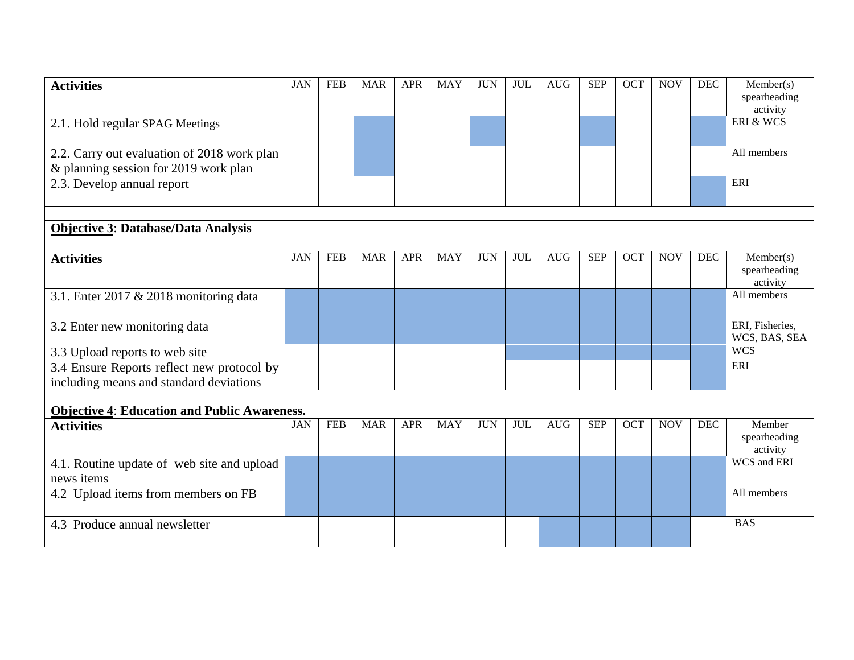| <b>Activities</b>                                                                    | <b>JAN</b> | <b>FEB</b> | <b>MAR</b> | <b>APR</b> | <b>MAY</b> | <b>JUN</b> | <b>JUL</b> | <b>AUG</b> | <b>SEP</b> | OCT        | <b>NOV</b> | DEC        | Member(s)<br>spearheading<br>activity |
|--------------------------------------------------------------------------------------|------------|------------|------------|------------|------------|------------|------------|------------|------------|------------|------------|------------|---------------------------------------|
| 2.1. Hold regular SPAG Meetings                                                      |            |            |            |            |            |            |            |            |            |            |            |            | ERI & WCS                             |
| 2.2. Carry out evaluation of 2018 work plan<br>& planning session for 2019 work plan |            |            |            |            |            |            |            |            |            |            |            |            | All members                           |
| 2.3. Develop annual report                                                           |            |            |            |            |            |            |            |            |            |            |            |            | ERI                                   |
|                                                                                      |            |            |            |            |            |            |            |            |            |            |            |            |                                       |
| <b>Objective 3: Database/Data Analysis</b>                                           |            |            |            |            |            |            |            |            |            |            |            |            |                                       |
| <b>Activities</b>                                                                    | <b>JAN</b> | <b>FEB</b> | <b>MAR</b> | <b>APR</b> | <b>MAY</b> | <b>JUN</b> | <b>JUL</b> | <b>AUG</b> | <b>SEP</b> | <b>OCT</b> | <b>NOV</b> | DEC        | Member(s)<br>spearheading<br>activity |
| 3.1. Enter 2017 & 2018 monitoring data                                               |            |            |            |            |            |            |            |            |            |            |            |            | All members                           |
| 3.2 Enter new monitoring data                                                        |            |            |            |            |            |            |            |            |            |            |            |            | ERI, Fisheries,<br>WCS, BAS, SEA      |
| 3.3 Upload reports to web site                                                       |            |            |            |            |            |            |            |            |            |            |            |            | <b>WCS</b>                            |
| 3.4 Ensure Reports reflect new protocol by                                           |            |            |            |            |            |            |            |            |            |            |            |            | ERI                                   |
| including means and standard deviations                                              |            |            |            |            |            |            |            |            |            |            |            |            |                                       |
|                                                                                      |            |            |            |            |            |            |            |            |            |            |            |            |                                       |
| <b>Objective 4: Education and Public Awareness.</b>                                  |            |            |            |            |            |            |            |            |            |            |            |            |                                       |
| <b>Activities</b>                                                                    | <b>JAN</b> | <b>FEB</b> | <b>MAR</b> | <b>APR</b> | <b>MAY</b> | <b>JUN</b> | <b>JUL</b> | <b>AUG</b> | <b>SEP</b> | <b>OCT</b> | <b>NOV</b> | <b>DEC</b> | Member<br>spearheading<br>activity    |
| 4.1. Routine update of web site and upload<br>news items                             |            |            |            |            |            |            |            |            |            |            |            |            | <b>WCS</b> and ERI                    |
| 4.2 Upload items from members on FB                                                  |            |            |            |            |            |            |            |            |            |            |            |            | All members                           |
| 4.3 Produce annual newsletter                                                        |            |            |            |            |            |            |            |            |            |            |            |            | <b>BAS</b>                            |